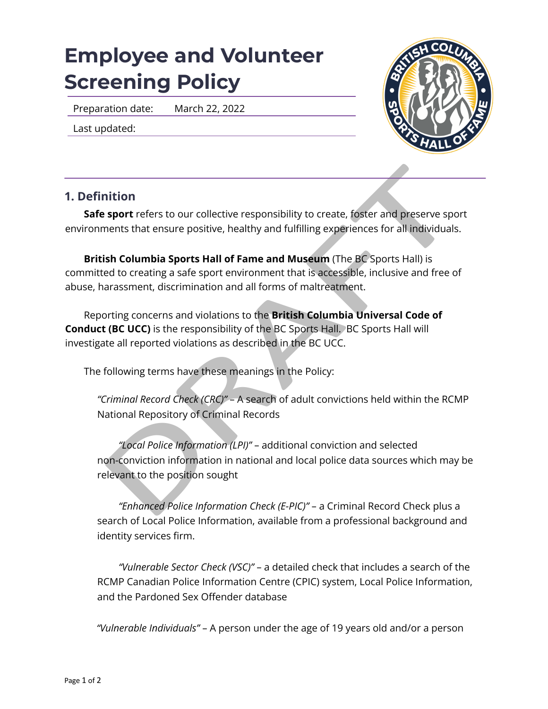## **Employee and Volunteer Screening Policy**

Preparation date: March 22, 2022

Last updated:



## **1. Definition**

**Safe sport** refers to our collective responsibility to create, foster and preserve sport environments that ensure positive, healthy and fulfilling experiences for all individuals.

**British Columbia Sports Hall of Fame and Museum** (The BC Sports Hall) is committed to creating a safe sport environment that is accessible, inclusive and free of abuse, harassment, discrimination and all forms of maltreatment.

Reporting concerns and violations to the **British Columbia Universal Code of Conduct (BC UCC)** is the responsibility of the BC Sports Hall. BC Sports Hall will investigate all reported violations as described in the BC UCC.

The following terms have these meanings in the Policy:

*"Criminal Record Check (CRC)"* – A search of adult convictions held within the RCMP National Repository of Criminal Records

**nition**<br> **sport** refers to our collective responsibility to create, foster and preserve sponents that ensure positive, healthy and fulfilling experiences for all individuals<br> **ish Columbia Sports Hall of Fame and Museum** *"Local Police Information (LPI)"* – additional conviction and selected non-conviction information in national and local police data sources which may be relevant to the position sought

*"Enhanced Police Information Check (E-PIC)"* – a Criminal Record Check plus a search of Local Police Information, available from a professional background and identity services firm.

*"Vulnerable Sector Check (VSC)"* – a detailed check that includes a search of the RCMP Canadian Police Information Centre (CPIC) system, Local Police Information, and the Pardoned Sex Offender database

*"Vulnerable Individuals"* – A person under the age of 19 years old and/or a person